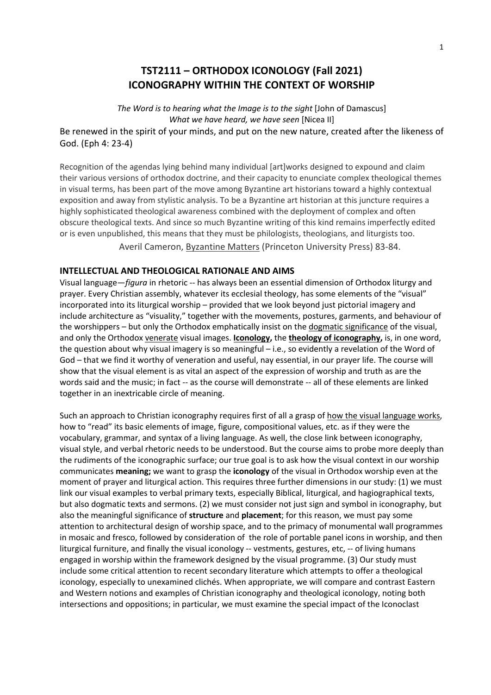# **TST2111 – ORTHODOX ICONOLOGY (Fall 2021) ICONOGRAPHY WITHIN THE CONTEXT OF WORSHIP**

*The Word is to hearing what the Image is to the sight* [John of Damascus] *What we have heard, we have seen* [Nicea II] Be renewed in the spirit of your minds, and put on the new nature, created after the likeness of God. (Eph 4: 23-4)

Recognition of the agendas lying behind many individual [art]works designed to expound and claim their various versions of orthodox doctrine, and their capacity to enunciate complex theological themes in visual terms, has been part of the move among Byzantine art historians toward a highly contextual exposition and away from stylistic analysis. To be a Byzantine art historian at this juncture requires a highly sophisticated theological awareness combined with the deployment of complex and often obscure theological texts. And since so much Byzantine writing of this kind remains imperfectly edited or is even unpublished, this means that they must be philologists, theologians, and liturgists too.

Averil Cameron, Byzantine Matters (Princeton University Press) 83-84.

#### **INTELLECTUAL AND THEOLOGICAL RATIONALE AND AIMS**

Visual language—*figura* in rhetoric -- has always been an essential dimension of Orthodox liturgy and prayer. Every Christian assembly, whatever its ecclesial theology, has some elements of the "visual" incorporated into its liturgical worship – provided that we look beyond just pictorial imagery and include architecture as "visuality," together with the movements, postures, garments, and behaviour of the worshippers - but only the Orthodox emphatically insist on the dogmatic significance of the visual, and only the Orthodox venerate visual images. **Iconology,** the **theology of iconography,** is, in one word, the question about why visual imagery is so meaningful – i.e., so evidently a revelation of the Word of God – that we find it worthy of veneration and useful, nay essential, in our prayer life. The course will show that the visual element is as vital an aspect of the expression of worship and truth as are the words said and the music; in fact -- as the course will demonstrate -- all of these elements are linked together in an inextricable circle of meaning.

Such an approach to Christian iconography requires first of all a grasp of how the visual language works, how to "read" its basic elements of image, figure, compositional values, etc. as if they were the vocabulary, grammar, and syntax of a living language. As well, the close link between iconography, visual style, and verbal rhetoric needs to be understood. But the course aims to probe more deeply than the rudiments of the iconographic surface; our true goal is to ask how the visual context in our worship communicates **meaning;** we want to grasp the **iconology** of the visual in Orthodox worship even at the moment of prayer and liturgical action. This requires three further dimensions in our study: (1) we must link our visual examples to verbal primary texts, especially Biblical, liturgical, and hagiographical texts, but also dogmatic texts and sermons. (2) we must consider not just sign and symbol in iconography, but also the meaningful significance of **structure** and **placement**; for this reason, we must pay some attention to architectural design of worship space, and to the primacy of monumental wall programmes in mosaic and fresco, followed by consideration of the role of portable panel icons in worship, and then liturgical furniture, and finally the visual iconology -- vestments, gestures, etc, -- of living humans engaged in worship within the framework designed by the visual programme. (3) Our study must include some critical attention to recent secondary literature which attempts to offer a theological iconology, especially to unexamined clichés. When appropriate, we will compare and contrast Eastern and Western notions and examples of Christian iconography and theological iconology, noting both intersections and oppositions; in particular, we must examine the special impact of the Iconoclast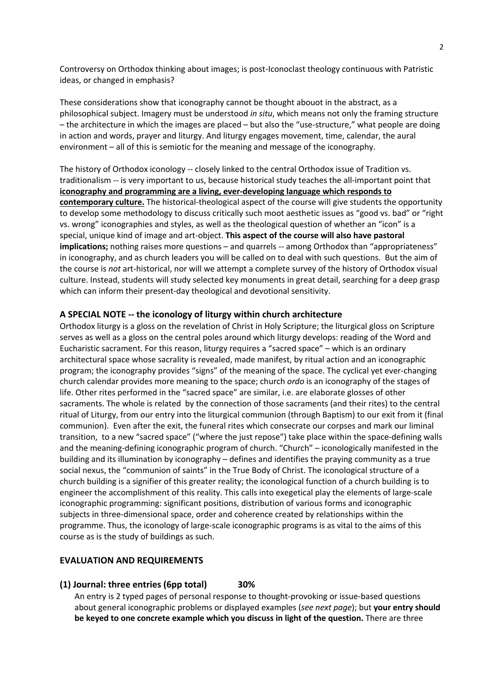Controversy on Orthodox thinking about images; is post-Iconoclast theology continuous with Patristic ideas, or changed in emphasis?

These considerations show that iconography cannot be thought abouot in the abstract, as a philosophical subject. Imagery must be understood *in situ*, which means not only the framing structure – the architecture in which the images are placed – but also the "use-structure," what people are doing in action and words, prayer and liturgy. And liturgy engages movement, time, calendar, the aural environment – all of this is semiotic for the meaning and message of the iconography.

The history of Orthodox iconology -- closely linked to the central Orthodox issue of Tradition vs. traditionalism -- is very important to us, because historical study teaches the all-important point that **iconography and programming are a living, ever-developing language which responds to contemporary culture.** The historical-theological aspect of the course will give students the opportunity to develop some methodology to discuss critically such moot aesthetic issues as "good vs. bad" or "right vs. wrong" iconographies and styles, as well as the theological question of whether an "icon" is a special, unique kind of image and art-object. **This aspect of the course will also have pastoral implications;** nothing raises more questions – and quarrels -- among Orthodox than "appropriateness" in iconography, and as church leaders you will be called on to deal with such questions. But the aim of the course is *not* art-historical, nor will we attempt a complete survey of the history of Orthodox visual culture. Instead, students will study selected key monuments in great detail, searching for a deep grasp which can inform their present-day theological and devotional sensitivity.

#### **A SPECIAL NOTE -- the iconology of liturgy within church architecture**

Orthodox liturgy is a gloss on the revelation of Christ in Holy Scripture; the liturgical gloss on Scripture serves as well as a gloss on the central poles around which liturgy develops: reading of the Word and Eucharistic sacrament. For this reason, liturgy requires a "sacred space" – which is an ordinary architectural space whose sacrality is revealed, made manifest, by ritual action and an iconographic program; the iconography provides "signs" of the meaning of the space. The cyclical yet ever-changing church calendar provides more meaning to the space; church *ordo* is an iconography of the stages of life. Other rites performed in the "sacred space" are similar, i.e. are elaborate glosses of other sacraments. The whole is related by the connection of those sacraments (and their rites) to the central ritual of Liturgy, from our entry into the liturgical communion (through Baptism) to our exit from it (final communion). Even after the exit, the funeral rites which consecrate our corpses and mark our liminal transition, to a new "sacred space" ("where the just repose") take place within the space-defining walls and the meaning-defining iconographic program of church. "Church" – iconologically manifested in the building and its illumination by iconography – defines and identifies the praying community as a true social nexus, the "communion of saints" in the True Body of Christ. The iconological structure of a church building is a signifier of this greater reality; the iconological function of a church building is to engineer the accomplishment of this reality. This calls into exegetical play the elements of large-scale iconographic programming: significant positions, distribution of various forms and iconographic subjects in three-dimensional space, order and coherence created by relationships within the programme. Thus, the iconology of large-scale iconographic programs is as vital to the aims of this course as is the study of buildings as such.

#### **EVALUATION AND REQUIREMENTS**

**(1) Journal: three entries (6pp total) 30%**

An entry is 2 typed pages of personal response to thought-provoking or issue-based questions about general iconographic problems or displayed examples (*see next page*); but **your entry should be keyed to one concrete example which you discuss in light of the question.** There are three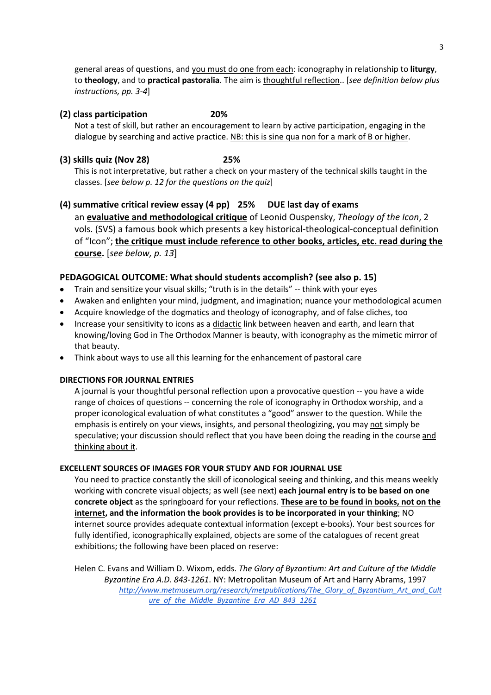general areas of questions, and you must do one from each: iconography in relationship to **liturgy**, to **theology**, and to **practical pastoralia**. The aim is thoughtful reflection.. [*see definition below plus instructions, pp. 3-4*]

#### **(2) class participation 20%**

Not a test of skill, but rather an encouragement to learn by active participation, engaging in the dialogue by searching and active practice. NB: this is sine qua non for a mark of B or higher.

# **(3) skills quiz (Nov 28) 25%**

This is not interpretative, but rather a check on your mastery of the technical skills taught in the classes. [*see below p. 12 for the questions on the quiz*]

**(4) summative critical review essay (4 pp) 25% DUE last day of exams** an **evaluative and methodological critique** of Leonid Ouspensky, *Theology of the Icon*, 2 vols. (SVS) a famous book which presents a key historical-theological-conceptual definition of "Icon"; **the critique must include reference to other books, articles, etc. read during the course.** [*see below, p. 13*]

# **PEDAGOGICAL OUTCOME: What should students accomplish? (see also p. 15)**

- Train and sensitize your visual skills; "truth is in the details" -- think with your eyes
- Awaken and enlighten your mind, judgment, and imagination; nuance your methodological acumen
- Acquire knowledge of the dogmatics and theology of iconography, and of false cliches, too
- Increase your sensitivity to icons as a didactic link between heaven and earth, and learn that knowing/loving God in The Orthodox Manner is beauty, with iconography as the mimetic mirror of that beauty.
- Think about ways to use all this learning for the enhancement of pastoral care

## **DIRECTIONS FOR JOURNAL ENTRIES**

A journal is your thoughtful personal reflection upon a provocative question -- you have a wide range of choices of questions -- concerning the role of iconography in Orthodox worship, and a proper iconological evaluation of what constitutes a "good" answer to the question. While the emphasis is entirely on your views, insights, and personal theologizing, you may not simply be speculative; your discussion should reflect that you have been doing the reading in the course and thinking about it.

## **EXCELLENT SOURCES OF IMAGES FOR YOUR STUDY AND FOR JOURNAL USE**

You need to practice constantly the skill of iconological seeing and thinking, and this means weekly working with concrete visual objects; as well (see next) **each journal entry is to be based on one concrete object** as the springboard for your reflections. **These are to be found in books, not on the internet, and the information the book provides is to be incorporated in your thinking**; NO internet source provides adequate contextual information (except e-books). Your best sources for fully identified, iconographically explained, objects are some of the catalogues of recent great exhibitions; the following have been placed on reserve:

Helen C. Evans and William D. Wixom, edds. *The Glory of Byzantium: Art and Culture of the Middle Byzantine Era A.D. 843-1261*. NY: Metropolitan Museum of Art and Harry Abrams, 1997 *http://www.metmuseum.org/research/metpublications/The\_Glory\_of\_Byzantium\_Art\_and\_Cult ure\_of\_the\_Middle\_Byzantine\_Era\_AD\_843\_1261*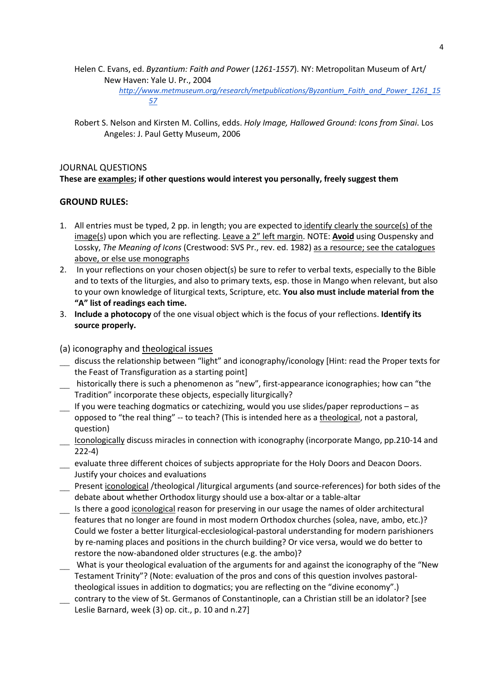Helen C. Evans, ed. *Byzantium: Faith and Power* (*1261-1557*). NY: Metropolitan Museum of Art/ New Haven: Yale U. Pr., 2004

> *http://www.metmuseum.org/research/metpublications/Byzantium\_Faith\_and\_Power\_1261\_15 57*

Robert S. Nelson and Kirsten M. Collins, edds. *Holy Image, Hallowed Ground: Icons from Sinai*. Los Angeles: J. Paul Getty Museum, 2006

## JOURNAL QUESTIONS **These are examples; if other questions would interest you personally, freely suggest them**

### **GROUND RULES:**

- 1. All entries must be typed, 2 pp. in length; you are expected to identify clearly the source(s) of the image(s) upon which you are reflecting. Leave a 2" left margin. NOTE: **Avoid** using Ouspensky and Lossky, *The Meaning of Icons* (Crestwood: SVS Pr., rev. ed. 1982) as a resource; see the catalogues above, or else use monographs
- 2. In your reflections on your chosen object(s) be sure to refer to verbal texts, especially to the Bible and to texts of the liturgies, and also to primary texts, esp. those in Mango when relevant, but also to your own knowledge of liturgical texts, Scripture, etc. **You also must include material from the "A" list of readings each time.**
- 3. **Include a photocopy** of the one visual object which is the focus of your reflections. **Identify its source properly.**
- (a) iconography and theological issues
- \_\_ discuss the relationship between "light" and iconography/iconology [Hint: read the Proper texts for the Feast of Transfiguration as a starting point]
- \_\_ historically there is such a phenomenon as "new", first-appearance iconographies; how can "the Tradition" incorporate these objects, especially liturgically?
- \_\_ If you were teaching dogmatics or catechizing, would you use slides/paper reproductions as opposed to "the real thing" -- to teach? (This is intended here as a theological, not a pastoral, question)
- \_\_ Iconologically discuss miracles in connection with iconography (incorporate Mango, pp.210-14 and 222-4)
- evaluate three different choices of subjects appropriate for the Holy Doors and Deacon Doors. Justify your choices and evaluations
- Present iconological /theological /liturgical arguments (and source-references) for both sides of the debate about whether Orthodox liturgy should use a box-altar or a table-altar
- Is there a good iconological reason for preserving in our usage the names of older architectural features that no longer are found in most modern Orthodox churches (solea, nave, ambo, etc.)? Could we foster a better liturgical-ecclesiological-pastoral understanding for modern parishioners by re-naming places and positions in the church building? Or vice versa, would we do better to restore the now-abandoned older structures (e.g. the ambo)?
- What is your theological evaluation of the arguments for and against the iconography of the "New Testament Trinity"? (Note: evaluation of the pros and cons of this question involves pastoraltheological issues in addition to dogmatics; you are reflecting on the "divine economy".)
- contrary to the view of St. Germanos of Constantinople, can a Christian still be an idolator? [see Leslie Barnard, week (3) op. cit., p. 10 and n.27]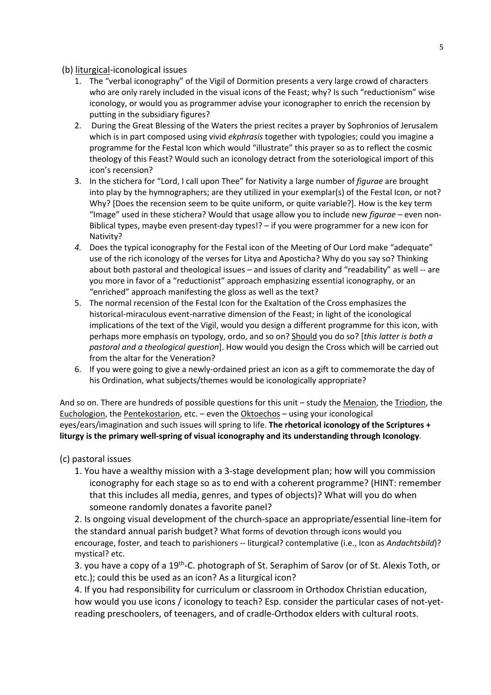### (b) liturgical-iconological issues

- 1. The "verbal iconography" of the Vigil of Dormition presents a very large crowd of characters who are only rarely included in the visual icons of the Feast; why? Is such "reductionism" wise iconology, or would you as programmer advise your iconographer to enrich the recension by putting in the subsidiary figures?
- 2. During the Great Blessing of the Waters the priest recites a prayer by Sophronios of Jerusalem which is in part composed using vivid *ekphrasis* together with typologies; could you imagine a programme for the Festal Icon which would "illustrate" this prayer so as to reflect the cosmic theology of this Feast? Would such an iconology detract from the soteriological import of this icon's recension?
- 3. In the stichera for "Lord, I call upon Thee" for Nativity a large number of *figurae* are brought into play by the hymnographers; are they utilized in your exemplar(s) of the Festal Icon, or not? Why? [Does the recension seem to be quite uniform, or quite variable?]. How is the key term "Image" used in these stichera? Would that usage allow you to include new *figurae* – even non-Biblical types, maybe even present-day types!? – if you were programmer for a new icon for Nativity?
- *4.* Does the typical iconography for the Festal icon of the Meeting of Our Lord make "adequate" use of the rich iconology of the verses for Litya and Aposticha? Why do you say so? Thinking about both pastoral and theological issues – and issues of clarity and "readability" as well -- are you more in favor of a "reductionist" approach emphasizing essential iconography, or an "enriched" approach manifesting the gloss as well as the text?
- 5. The normal recension of the Festal Icon for the Exaltation of the Cross emphasizes the historical-miraculous event-narrative dimension of the Feast; in light of the iconological implications of the text of the Vigil, would you design a different programme for this icon, with perhaps more emphasis on typology, ordo, and so on? Should you do so? [*this latter is both a pastoral and a theological question*]. How would you design the Cross which will be carried out from the altar for the Veneration?
- 6. If you were going to give a newly-ordained priest an icon as a gift to commemorate the day of his Ordination, what subjects/themes would be iconologically appropriate?

And so on. There are hundreds of possible questions for this unit – study the Menaion, the Triodion, the Euchologion, the Pentekostarion, etc. – even the Oktoechos – using your iconological eyes/ears/imagination and such issues will spring to life. **The rhetorical iconology of the Scriptures + liturgy is the primary well-spring of visual iconography and its understanding through Iconology**.

(c) pastoral issues

1. You have a wealthy mission with a 3-stage development plan; how will you commission iconography for each stage so as to end with a coherent programme? (HINT: remember that this includes all media, genres, and types of objects)? What will you do when someone randomly donates a favorite panel?

2. Is ongoing visual development of the church-space an appropriate/essential line-item for the standard annual parish budget? What forms of devotion through icons would you encourage, foster, and teach to parishioners -- liturgical? contemplative (i.e., Icon as *Andachtsbild*)? mystical? etc.

3. you have a copy of a 19<sup>th</sup>-C. photograph of St. Seraphim of Sarov (or of St. Alexis Toth, or etc.); could this be used as an icon? As a liturgical icon?

4. If you had responsibility for curriculum or classroom in Orthodox Christian education, how would you use icons / iconology to teach? Esp. consider the particular cases of not-yetreading preschoolers, of teenagers, and of cradle-Orthodox elders with cultural roots.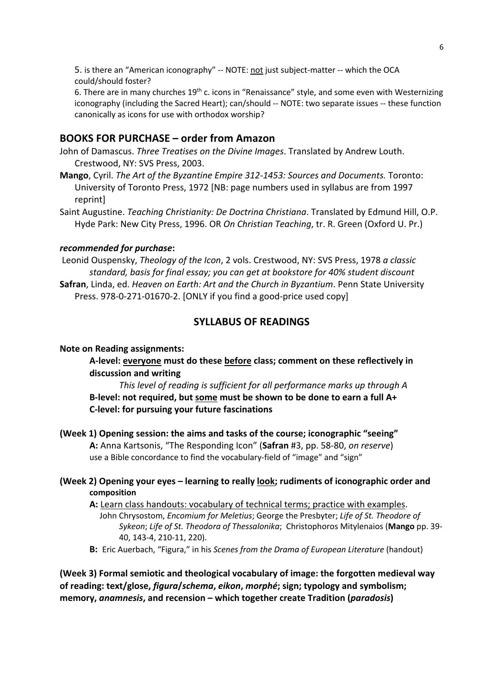5. is there an "American iconography" -- NOTE: not just subject-matter -- which the OCA could/should foster?

6. There are in many churches  $19<sup>th</sup>$  c. icons in "Renaissance" style, and some even with Westernizing iconography (including the Sacred Heart); can/should -- NOTE: two separate issues -- these function canonically as icons for use with orthodox worship?

### **BOOKS FOR PURCHASE – order from Amazon**

- John of Damascus. *Three Treatises on the Divine Images*. Translated by Andrew Louth. Crestwood, NY: SVS Press, 2003.
- **Mango**, Cyril. *The Art of the Byzantine Empire 312-1453: Sources and Documents.* Toronto: University of Toronto Press, 1972 [NB: page numbers used in syllabus are from 1997 reprint]
- Saint Augustine. *Teaching Christianity: De Doctrina Christiana*. Translated by Edmund Hill, O.P. Hyde Park: New City Press, 1996. OR *On Christian Teaching*, tr. R. Green (Oxford U. Pr.)

### *recommended for purchase***:**

Leonid Ouspensky, *Theology of the Icon*, 2 vols. Crestwood, NY: SVS Press, 1978 *a classic standard, basis for final essay; you can get at bookstore for 40% student discount* **Safran**, Linda, ed. *Heaven on Earth: Art and the Church in Byzantium*. Penn State University Press. 978-0-271-01670-2. [ONLY if you find a good-price used copy]

### **SYLLABUS OF READINGS**

#### **Note on Reading assignments:**

**A-level: everyone must do these before class; comment on these reflectively in discussion and writing**

*This level of reading is sufficient for all performance marks up through A* **B-level: not required, but some must be shown to be done to earn a full A+ C-level: for pursuing your future fascinations**

**(Week 1) Opening session: the aims and tasks of the course; iconographic "seeing" A:** Anna Kartsonis, "The Responding Icon" (**Safran** #3, pp. 58-80, *on reserve*) use a Bible concordance to find the vocabulary-field of "image" and "sign"

### **(Week 2) Opening your eyes – learning to really look; rudiments of iconographic order and composition**

**A:** Learn class handouts: vocabulary of technical terms; practice with examples.

 John Chrysostom, *Encomium for Meletius*; George the Presbyter; *Life of St. Theodore of Sykeon*; *Life of St. Theodora of Thessalonika*; Christophoros Mitylenaios (**Mango** pp. 39- 40, 143-4, 210-11, 220).

**B:** Eric Auerbach, "Figura," in his *Scenes from the Drama of European Literature* (handout)

**(Week 3) Formal semiotic and theological vocabulary of image: the forgotten medieval way of reading: text/glose,** *figura***/***schema***,** *eikon***,** *morphé***; sign; typology and symbolism; memory,** *anamnesis***, and recension – which together create Tradition (***paradosis***)**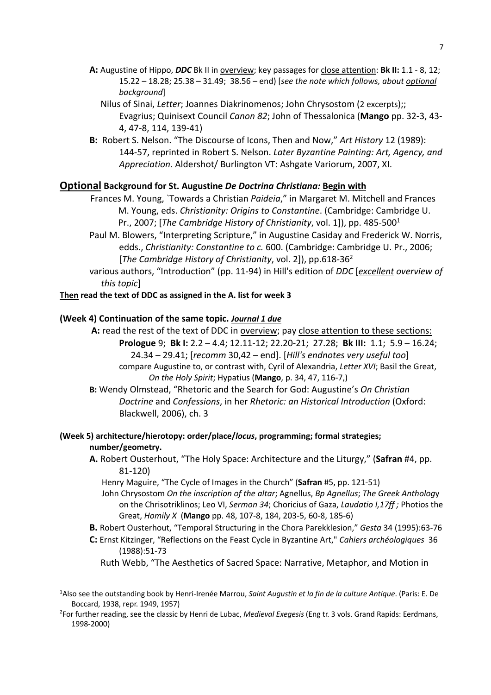- **A:** Augustine of Hippo, *DDC* Bk II in overview; key passages for close attention: **Bk II:** 1.1 8, 12; 15.22 – 18.28; 25.38 – 31.49; 38.56 – end) [*see the note which follows, about optional background*]
	- Nilus of Sinai, *Letter*; Joannes Diakrinomenos; John Chrysostom (2 excerpts);; Evagrius; Quinisext Council *Canon 82*; John of Thessalonica (**Mango** pp. 32-3, 43- 4, 47-8, 114, 139-41)
- **B:** Robert S. Nelson. "The Discourse of Icons, Then and Now," *Art History* 12 (1989): 144-57, reprinted in Robert S. Nelson. *Later Byzantine Painting: Art, Agency, and Appreciation*. Aldershot/ Burlington VT: Ashgate Variorum, 2007, XI.

### **Optional Background for St. Augustine** *De Doctrina Christiana:* **Begin with**

Frances M. Young, `Towards a Christian *Paideia*," in Margaret M. Mitchell and Frances M. Young, eds. *Christianity: Origins to Constantine*. (Cambridge: Cambridge U. Pr., 2007; [*The Cambridge History of Christianity*, vol. 1]), pp. 485-5001

- Paul M. Blowers, "Interpreting Scripture," in Augustine Casiday and Frederick W. Norris, edds., *Christianity: Constantine to c.* 600. (Cambridge: Cambridge U. Pr., 2006; [*The Cambridge History of Christianity*, vol. 2]), pp.618-362
- various authors, "Introduction" (pp. 11-94) in Hill's edition of *DDC* [*excellent overview of this topic*]

### **Then read the text of DDC as assigned in the A. list for week 3**

### **(Week 4) Continuation of the same topic.** *Journal 1 due*

- A: read the rest of the text of DDC in overview; pay close attention to these sections: **Prologue** 9; **Bk I:** 2.2 – 4.4; 12.11-12; 22.20-21; 27.28; **Bk III:** 1.1; 5.9 – 16.24; 24.34 – 29.41; [*recomm* 30,42 – end]. [*Hill's endnotes very useful too*] compare Augustine to, or contrast with, Cyril of Alexandria, *Letter XVI*; Basil the Great, *On the Holy Spirit*; Hypatius (**Mango**, p. 34, 47, 116-7,)
- **B:** Wendy Olmstead, "Rhetoric and the Search for God: Augustine's *On Christian Doctrine* and *Confessions*, in her *Rhetoric: an Historical Introduction* (Oxford: Blackwell, 2006), ch. 3

### **(Week 5) architecture/hierotopy: order/place/***locus***, programming; formal strategies; number/geometry.**

- **A.** Robert Ousterhout, "The Holy Space: Architecture and the Liturgy," (**Safran** #4, pp. 81-120)
	- Henry Maguire, "The Cycle of Images in the Church" (**Safran** #5, pp. 121-51)
	- John Chrysostom *On the inscription of the altar*; Agnellus, *Bp Agnellus*; *The Greek Antholog*y on the Chrisotriklinos; Leo VI, *Sermon 34*; Choricius of Gaza, *Laudatio I,17ff ;* Photios the Great, *Homily X* (**Mango** pp. 48, 107-8, 184, 203-5, 60-8, 185-6)
- **B.** Robert Ousterhout, "Temporal Structuring in the Chora Parekklesion," *Gesta* 34 (1995):63-76
- **C:** Ernst Kitzinger, "Reflections on the Feast Cycle in Byzantine Art," *Cahiers archéologiques* 36 (1988):51-73
	- Ruth Webb, "The Aesthetics of Sacred Space: Narrative, Metaphor, and Motion in

<sup>1</sup> Also see the outstanding book by Henri-Irenée Marrou, *Saint Augustin et la fin de la culture Antique*. (Paris: E. De Boccard, 1938, repr. 1949, 1957)

<sup>2</sup> For further reading, see the classic by Henri de Lubac, *Medieval Exegesis* (Eng tr. 3 vols. Grand Rapids: Eerdmans, 1998-2000)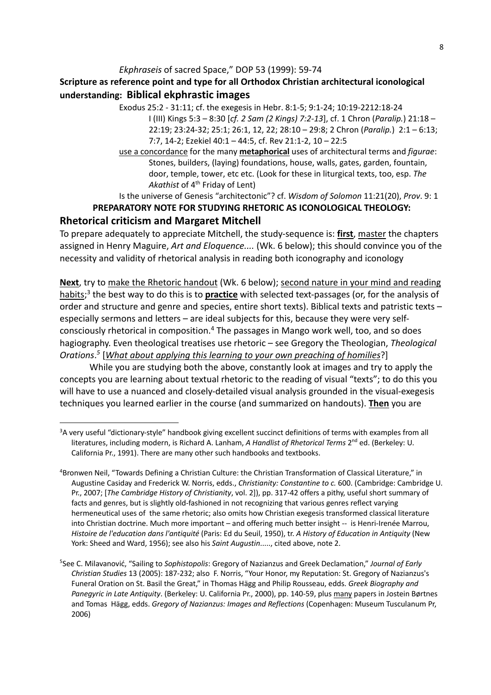## *Ekphraseis* of sacred Space," DOP 53 (1999): 59-74

## **Scripture as reference point and type for all Orthodox Christian architectural iconological understanding: Biblical ekphrastic images**

Exodus 25:2 - 31:11; cf. the exegesis in Hebr. 8:1-5; 9:1-24; 10:19-2212:18-24 I (III) Kings 5:3 – 8:30 [*cf. 2 Sam (2 Kings) 7:2-13*], cf. 1 Chron (*Paralip.*) 21:18 – 22:19; 23:24-32; 25:1; 26:1, 12, 22; 28:10 – 29:8; 2 Chron (*Paralip.*) 2:1 – 6:13; 7:7, 14-2; Ezekiel 40:1 – 44:5, cf. Rev 21:1-2, 10 – 22:5

use a concordance for the many **metaphorical** uses of architectural terms and *figurae*: Stones, builders, (laying) foundations, house, walls, gates, garden, fountain, door, temple, tower, etc etc. (Look for these in liturgical texts, too, esp. *The*  Akathist of 4<sup>th</sup> Friday of Lent)

Is the universe of Genesis "architectonic"? cf. *Wisdom of Solomon* 11:21(20), *Prov*. 9: 1 **PREPARATORY NOTE FOR STUDYING RHETORIC AS ICONOLOGICAL THEOLOGY:**

## **Rhetorical criticism and Margaret Mitchell**

To prepare adequately to appreciate Mitchell, the study-sequence is: **first**, master the chapters assigned in Henry Maguire, *Art and Eloquence....* (Wk. 6 below); this should convince you of the necessity and validity of rhetorical analysis in reading both iconography and iconology

**Next**, try to make the Rhetoric handout (Wk. 6 below); second nature in your mind and reading habits; <sup>3</sup> the best way to do this is to **practice** with selected text-passages (or, for the analysis of order and structure and genre and species, entire short texts). Biblical texts and patristic texts – especially sermons and letters – are ideal subjects for this, because they were very selfconsciously rhetorical in composition.4 The passages in Mango work well, too, and so does hagiography. Even theological treatises use rhetoric – see Gregory the Theologian, *Theological Orations*. *<sup>5</sup>* [*What about applying this learning to your own preaching of homilies*?]

While you are studying both the above, constantly look at images and try to apply the concepts you are learning about textual rhetoric to the reading of visual "texts"; to do this you will have to use a nuanced and closely-detailed visual analysis grounded in the visual-exegesis techniques you learned earlier in the course (and summarized on handouts). **Then** you are

<sup>&</sup>lt;sup>3</sup>A very useful "dictionary-style" handbook giving excellent succinct definitions of terms with examples from all literatures, including modern, is Richard A. Lanham, *A Handlist of Rhetorical Terms* 2<sup>nd</sup> ed. (Berkeley: U. California Pr., 1991). There are many other such handbooks and textbooks.

<sup>4</sup> Bronwen Neil, "Towards Defining a Christian Culture: the Christian Transformation of Classical Literature," in Augustine Casiday and Frederick W. Norris, edds., *Christianity: Constantine to c.* 600. (Cambridge: Cambridge U. Pr., 2007; [*The Cambridge History of Christianity*, vol. 2]), pp. 317-42 offers a pithy, useful short summary of facts and genres, but is slightly old-fashioned in not recognizing that various genres reflect varying hermeneutical uses of the same rhetoric; also omits how Christian exegesis transformed classical literature into Christian doctrine. Much more important – and offering much better insight -- is Henri-Irenée Marrou, *Histoire de l'education dans l'antiquité* (Paris: Ed du Seuil, 1950), tr. *A History of Education in Antiquity* (New York: Sheed and Ward, 1956); see also his *Saint Augustin*....., cited above, note 2.

<sup>5</sup> See C. Milavanović, "Sailing to *Sophistopolis*: Gregory of Nazianzus and Greek Declamation," *Journal of Early Christian Studies* 13 (2005): 187-232; also F. Norris, "Your Honor, my Reputation: St. Gregory of Nazianzus's Funeral Oration on St. Basil the Great," in Thomas Hägg and Philip Rousseau, edds. *Greek Biography and Panegyric in Late Antiquity*. (Berkeley: U. California Pr., 2000), pp. 140-59, plus many papers in Jostein Børtnes and Tomas Hägg, edds. *Gregory of Nazianzus: Images and Reflections* (Copenhagen: Museum Tusculanum Pr, 2006)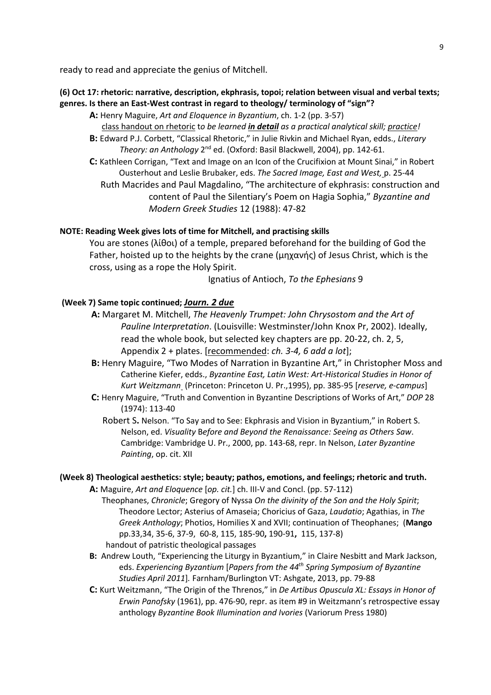ready to read and appreciate the genius of Mitchell.

#### **(6) Oct 17: rhetoric: narrative, description, ekphrasis, topoi; relation between visual and verbal texts; genres. Is there an East-West contrast in regard to theology/ terminology of "sign"?**

- **A:** Henry Maguire, *Art and Eloquence in Byzantium*, ch. 1-2 (pp. 3-57) class handout on rhetoric t*o be learned in detail as a practical analytical skill; practice!*
- **B:** Edward P.J. Corbett, "Classical Rhetoric," in Julie Rivkin and Michael Ryan, edds., *Literary Theory: an Anthology* 2nd ed. (Oxford: Basil Blackwell, 2004), pp. 142-61.
- **C:** Kathleen Corrigan, "Text and Image on an Icon of the Crucifixion at Mount Sinai," in Robert Ousterhout and Leslie Brubaker, eds. *The Sacred Image, East and West,* p. 25-44 Ruth Macrides and Paul Magdalino, "The architecture of ekphrasis: construction and content of Paul the Silentiary's Poem on Hagia Sophia," *Byzantine and Modern Greek Studies* 12 (1988): 47-82

#### **NOTE: Reading Week gives lots of time for Mitchell, and practising skills**

You are stones (λίθοι) of a temple, prepared beforehand for the building of God the Father, hoisted up to the heights by the crane (μηχανής) of Jesus Christ, which is the cross, using as a rope the Holy Spirit.

Ignatius of Antioch, *To the Ephesians* 9

#### **(Week 7) Same topic continued;** *Journ. 2 due*

- **A:** Margaret M. Mitchell, *The Heavenly Trumpet: John Chrysostom and the Art of Pauline Interpretation*. (Louisville: Westminster/John Knox Pr, 2002). Ideally, read the whole book, but selected key chapters are pp. 20-22, ch. 2, 5, Appendix 2 + plates. [recommended: *ch. 3-4, 6 add a lot*];
- **B:** Henry Maguire, "Two Modes of Narration in Byzantine Art," in Christopher Moss and Catherine Kiefer, edds., *Byzantine East, Latin West: Art-Historical Studies in Honor of Kurt Weitzmann* (Princeton: Princeton U. Pr.,1995), pp. 385-95 [*reserve, e-campus*]
- **C:** Henry Maguire, "Truth and Convention in Byzantine Descriptions of Works of Art," *DOP* 28 (1974): 113-40
	- Robert S**.** Nelson. "To Say and to See: Ekphrasis and Vision in Byzantium," in Robert S. Nelson, ed. *Visuality* B*efore and Beyond the Renaissance: Seeing as Others Saw*. Cambridge: Vambridge U. Pr., 2000, pp. 143-68, repr. In Nelson, *Later Byzantine Painting*, op. cit. XII

### **(Week 8) Theological aesthetics: style; beauty; pathos, emotions, and feelings; rhetoric and truth.**

**A:** Maguire, *Art and Eloquence* [*op. cit.*] ch. III-V and Concl. (pp. 57-112)

- Theophanes, *Chronicle*; Gregory of Nyssa *On the divinity of the Son and the Holy Spirit*; Theodore Lector; Asterius of Amaseia; Choricius of Gaza, *Laudatio*; Agathias, in *The Greek Anthology*; Photios, Homilies X and XVII; continuation of Theophanes; (**Mango** pp.33,34, 35-6, 37-9, 60-8, 115, 185-90**,** 190-91**,** 115, 137-8) handout of patristic theological passages
- **B:** Andrew Louth, "Experiencing the Liturgy in Byzantium," in Claire Nesbitt and Mark Jackson, eds. *Experiencing Byzantium* [*Papers from the 44th Spring Symposium of Byzantine Studies April 2011*]*.* Farnham/Burlington VT: Ashgate, 2013, pp. 79-88
- **C:** Kurt Weitzmann, "The Origin of the Threnos," in *De Artibus Opuscula XL: Essays in Honor of Erwin Panofsky* (1961), pp. 476-90, repr. as item #9 in Weitzmann's retrospective essay anthology *Byzantine Book Illumination and Ivories* (Variorum Press 1980)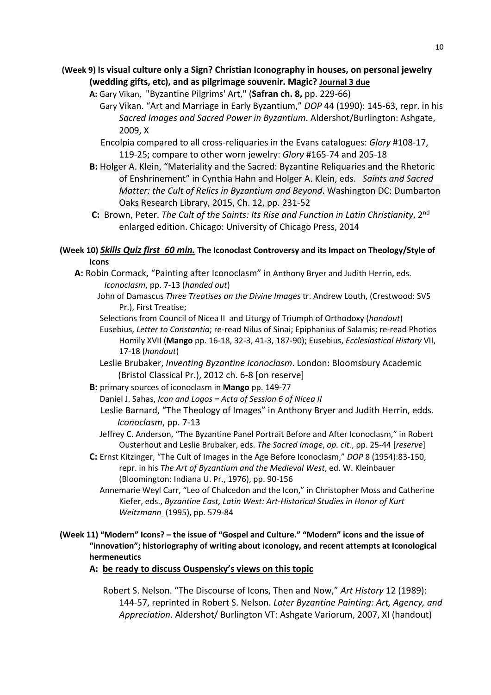### **(Week 9) Is visual culture only a Sign? Christian Iconography in houses, on personal jewelry (wedding gifts, etc), and as pilgrimage souvenir. Magic? Journal 3 due**

- **A:** Gary Vikan, "Byzantine Pilgrims' Art," (**Safran ch. 8,** pp. 229-66)
	- Gary Vikan. "Art and Marriage in Early Byzantium," *DOP* 44 (1990): 145-63, repr. in his *Sacred Images and Sacred Power in Byzantium*. Aldershot/Burlington: Ashgate, 2009, X
	- Encolpia compared to all cross-reliquaries in the Evans catalogues: *Glory* #108-17, 119-25; compare to other worn jewelry: *Glory* #165-74 and 205-18
- **B:** Holger A. Klein, "Materiality and the Sacred: Byzantine Reliquaries and the Rhetoric of Enshrinement" in Cynthia Hahn and Holger A. Klein, eds. *Saints and Sacred Matter: the Cult of Relics in Byzantium and Beyond*. Washington DC: Dumbarton Oaks Research Library, 2015, Ch. 12, pp. 231-52
- **C:** Brown, Peter. *The Cult of the Saints: Its Rise and Function in Latin Christianity*, 2nd enlarged edition. Chicago: University of Chicago Press, 2014

### **(Week 10)** *Skills Quiz first 60 min.* **The Iconoclast Controversy and its Impact on Theology/Style of Icons**

- **A:** Robin Cormack, "Painting after Iconoclasm" in Anthony Bryer and Judith Herrin, eds. *Iconoclasm*, pp. 7-13 (*handed out*)
	- John of Damascus *Three Treatises on the Divine Images* tr. Andrew Louth, (Crestwood: SVS Pr.), First Treatise;
	- Selections from Council of Nicea II and Liturgy of Triumph of Orthodoxy (*handout*)
	- Eusebius, *Letter to Constantia*; re-read Nilus of Sinai; Epiphanius of Salamis; re-read Photios Homily XVII (**Mango** pp. 16-18, 32-3, 41-3, 187-90); Eusebius, *Ecclesiastical History* VII, 17-18 (*handout*)
	- Leslie Brubaker, *Inventing Byzantine Iconoclasm*. London: Bloomsbury Academic (Bristol Classical Pr.), 2012 ch. 6-8 [on reserve]
	- **B:** primary sources of iconoclasm in **Mango** pp. 149-77
		- Daniel J. Sahas, *Icon and Logos = Acta of Session 6 of Nicea II*
		- Leslie Barnard, "The Theology of Images" in Anthony Bryer and Judith Herrin, edds. *Iconoclasm*, pp. 7-13
		- Jeffrey C. Anderson, "The Byzantine Panel Portrait Before and After Iconoclasm," in Robert Ousterhout and Leslie Brubaker, eds. *The Sacred Image*, *op. cit.*, pp. 25-44 [*reserve*]
	- **C:** Ernst Kitzinger, "The Cult of Images in the Age Before Iconoclasm," *DOP* 8 (1954):83-150, repr. in his *The Art of Byzantium and the Medieval West*, ed. W. Kleinbauer (Bloomington: Indiana U. Pr., 1976), pp. 90-156
		- Annemarie Weyl Carr, "Leo of Chalcedon and the Icon," in Christopher Moss and Catherine Kiefer, eds., *Byzantine East, Latin West: Art-Historical Studies in Honor of Kurt Weitzmann* (1995), pp. 579-84

### **(Week 11) "Modern" Icons? – the issue of "Gospel and Culture." "Modern" icons and the issue of "innovation"; historiography of writing about iconology, and recent attempts at Iconological hermeneutics**

**A: be ready to discuss Ouspensky's views on this topic**

 Robert S. Nelson. "The Discourse of Icons, Then and Now," *Art History* 12 (1989): 144-57, reprinted in Robert S. Nelson. *Later Byzantine Painting: Art, Agency, and Appreciation*. Aldershot/ Burlington VT: Ashgate Variorum, 2007, XI (handout)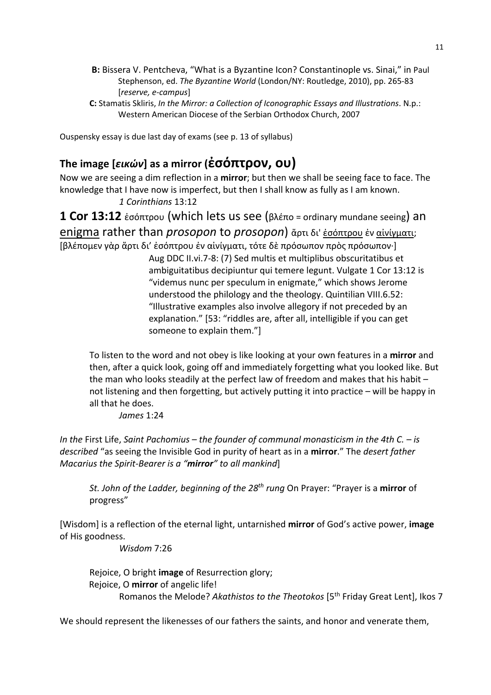- **B:** Bissera V. Pentcheva, "What is a Byzantine Icon? Constantinople vs. Sinai," in Paul Stephenson, ed. *The Byzantine World* (London/NY: Routledge, 2010), pp. 265-83 [*reserve, e-campus*]
- **C:** Stamatis Skliris, *In the Mirror: a Collection of Iconographic Essays and Illustrations*. N.p.: Western American Diocese of the Serbian Orthodox Church, 2007

Ouspensky essay is due last day of exams (see p. 13 of syllabus)

# **The image [***εικών***] as a mirror (ἐσόπτρον, ου)**

Now we are seeing a dim reflection in a **mirror**; but then we shall be seeing face to face. The knowledge that I have now is imperfect, but then I shall know as fully as I am known. *1 Corinthians* 13:12

**1 Cor 13:12** ἐσόπτρου (which lets us see (βλέπο = ordinary mundane seeing) an enigma rather than *prosopon* to *prosopon*) ἄρτι δι' ἐσόπτρου ἐν αἰνίγματι;

[βλέπομεν γὰρ ἄρτι δι' ἐσόπτρου ἐν αἰνίγματι, τότε δὲ πρόσωπον πρὸς πρόσωπον·] Aug DDC II.vi.7-8: (7) Sed multis et multiplibus obscuritatibus et ambiguitatibus decipiuntur qui temere legunt. Vulgate 1 Cor 13:12 is "videmus nunc per speculum in enigmate," which shows Jerome understood the philology and the theology. Quintilian VIII.6.52: "Illustrative examples also involve allegory if not preceded by an explanation." [53: "riddles are, after all, intelligible if you can get someone to explain them."]

To listen to the word and not obey is like looking at your own features in a **mirror** and then, after a quick look, going off and immediately forgetting what you looked like. But the man who looks steadily at the perfect law of freedom and makes that his habit – not listening and then forgetting, but actively putting it into practice – will be happy in all that he does.

*James* 1:24

*In the* First Life, *Saint Pachomius – the founder of communal monasticism in the 4th C. – is described* "as seeing the Invisible God in purity of heart as in a **mirror**." The *desert father Macarius the Spirit-Bearer is a "mirror" to all mankind*]

*St. John of the Ladder, beginning of the 28th rung* On Prayer: "Prayer is a **mirror** of progress"

[Wisdom] is a reflection of the eternal light, untarnished **mirror** of God's active power, **image** of His goodness.

*Wisdom* 7:26

Rejoice, O bright **image** of Resurrection glory; Rejoice, O **mirror** of angelic life! Romanos the Melode? *Akathistos to the Theotokos* [5th Friday Great Lent], Ikos 7

We should represent the likenesses of our fathers the saints, and honor and venerate them,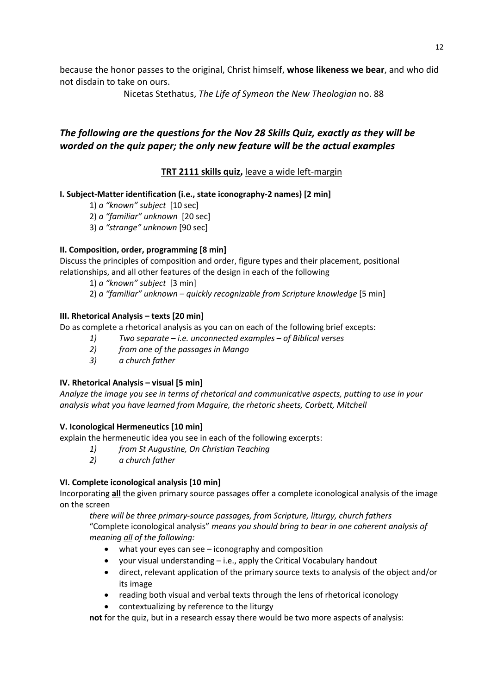because the honor passes to the original, Christ himself, **whose likeness we bear**, and who did not disdain to take on ours.

Nicetas Stethatus, *The Life of Symeon the New Theologian* no. 88

# *The following are the questions for the Nov 28 Skills Quiz, exactly as they will be worded on the quiz paper; the only new feature will be the actual examples*

## **TRT 2111 skills quiz,** leave a wide left-margin

### **I. Subject-Matter identification (i.e., state iconography-2 names) [2 min]**

1) *a "known" subject* [10 sec]

- 2) *a "familiar" unknown* [20 sec]
- 3) *a "strange" unknown* [90 sec]

### **II. Composition, order, programming [8 min]**

Discuss the principles of composition and order, figure types and their placement, positional relationships, and all other features of the design in each of the following

- 1) *a "known" subject* [3 min]
- 2) *a "familiar" unknown – quickly recognizable from Scripture knowledge* [5 min]

### **III. Rhetorical Analysis – texts [20 min]**

Do as complete a rhetorical analysis as you can on each of the following brief excepts:

- *1) Two separate – i.e. unconnected examples of Biblical verses*
- *2) from one of the passages in Mango*
- *3) a church father*

### **IV. Rhetorical Analysis – visual [5 min]**

*Analyze the image you see in terms of rhetorical and communicative aspects, putting to use in your analysis what you have learned from Maguire, the rhetoric sheets, Corbett, Mitchell*

#### **V. Iconological Hermeneutics [10 min]**

explain the hermeneutic idea you see in each of the following excerpts:

- *1) from St Augustine, On Christian Teaching*
- *2) a church father*

### **VI. Complete iconological analysis [10 min]**

Incorporating **all** the given primary source passages offer a complete iconological analysis of the image on the screen

*there will be three primary-source passages, from Scripture, liturgy, church fathers* "Complete iconological analysis" *means you should bring to bear in one coherent analysis of meaning all of the following:*

- what your eyes can see iconography and composition
- your visual understanding i.e., apply the Critical Vocabulary handout
- direct, relevant application of the primary source texts to analysis of the object and/or its image
- reading both visual and verbal texts through the lens of rhetorical iconology
- contextualizing by reference to the liturgy

**not** for the quiz, but in a research essay there would be two more aspects of analysis: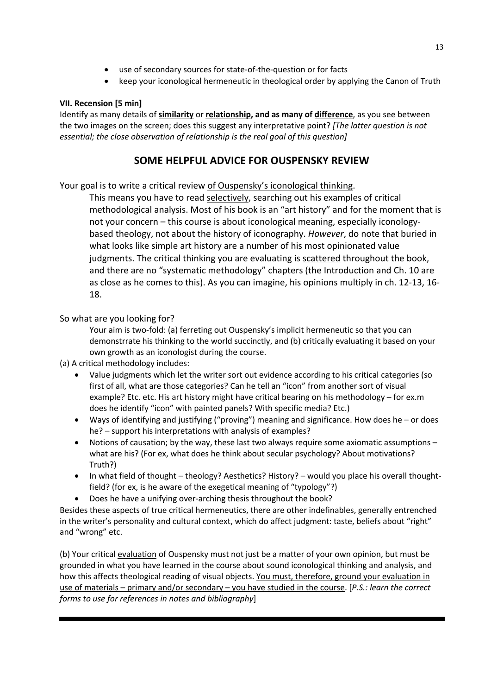- use of secondary sources for state-of-the-question or for facts
- keep your iconological hermeneutic in theological order by applying the Canon of Truth

## **VII. Recension [5 min]**

Identify as many details of **similarity** or **relationship, and as many of difference**, as you see between the two images on the screen; does this suggest any interpretative point? *[The latter question is not essential; the close observation of relationship is the real goal of this question]*

# **SOME HELPFUL ADVICE FOR OUSPENSKY REVIEW**

Your goal is to write a critical review of Ouspensky's iconological thinking.

This means you have to read selectively, searching out his examples of critical methodological analysis. Most of his book is an "art history" and for the moment that is not your concern – this course is about iconological meaning, especially iconologybased theology, not about the history of iconography. *However*, do note that buried in what looks like simple art history are a number of his most opinionated value judgments. The critical thinking you are evaluating is scattered throughout the book, and there are no "systematic methodology" chapters (the Introduction and Ch. 10 are as close as he comes to this). As you can imagine, his opinions multiply in ch. 12-13, 16- 18.

### So what are you looking for?

Your aim is two-fold: (a) ferreting out Ouspensky's implicit hermeneutic so that you can demonstrrate his thinking to the world succinctly, and (b) critically evaluating it based on your own growth as an iconologist during the course.

(a) A critical methodology includes:

- Value judgments which let the writer sort out evidence according to his critical categories (so first of all, what are those categories? Can he tell an "icon" from another sort of visual example? Etc. etc. His art history might have critical bearing on his methodology – for ex.m does he identify "icon" with painted panels? With specific media? Etc.)
- Ways of identifying and justifying ("proving") meaning and significance. How does he or does he? – support his interpretations with analysis of examples?
- Notions of causation; by the way, these last two always require some axiomatic assumptions what are his? (For ex, what does he think about secular psychology? About motivations? Truth?)
- In what field of thought theology? Aesthetics? History? would you place his overall thoughtfield? (for ex, is he aware of the exegetical meaning of "typology"?)
- Does he have a unifying over-arching thesis throughout the book?

Besides these aspects of true critical hermeneutics, there are other indefinables, generally entrenched in the writer's personality and cultural context, which do affect judgment: taste, beliefs about "right" and "wrong" etc.

(b) Your critical evaluation of Ouspensky must not just be a matter of your own opinion, but must be grounded in what you have learned in the course about sound iconological thinking and analysis, and how this affects theological reading of visual objects. You must, therefore, ground your evaluation in use of materials – primary and/or secondary – you have studied in the course. [*P.S.: learn the correct forms to use for references in notes and bibliography*]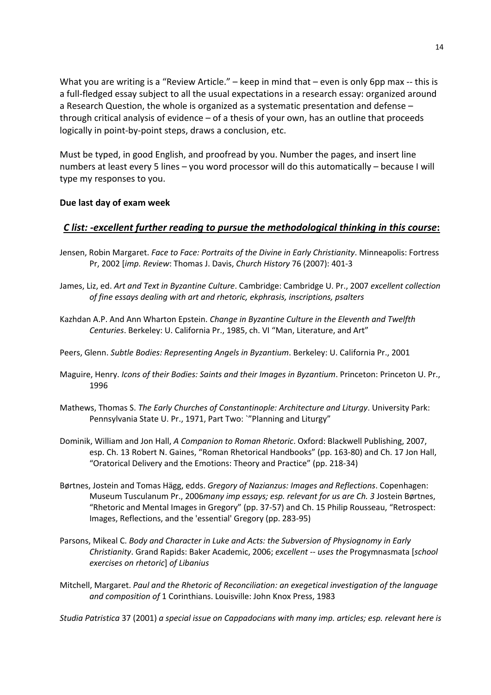What you are writing is a "Review Article." – keep in mind that – even is only 6pp max -- this is a full-fledged essay subject to all the usual expectations in a research essay: organized around a Research Question, the whole is organized as a systematic presentation and defense – through critical analysis of evidence – of a thesis of your own, has an outline that proceeds logically in point-by-point steps, draws a conclusion, etc.

Must be typed, in good English, and proofread by you. Number the pages, and insert line numbers at least every 5 lines – you word processor will do this automatically – because I will type my responses to you.

### **Due last day of exam week**

### *C list: -excellent further reading to pursue the methodological thinking in this course***:**

- Jensen, Robin Margaret. *Face to Face: Portraits of the Divine in Early Christianity*. Minneapolis: Fortress Pr, 2002 [*imp. Review*: Thomas J. Davis, *Church History* 76 (2007): 401-3
- James, Liz, ed. *Art and Text in Byzantine Culture*. Cambridge: Cambridge U. Pr., 2007 *excellent collection of fine essays dealing with art and rhetoric, ekphrasis, inscriptions, psalters*
- Kazhdan A.P. And Ann Wharton Epstein. *Change in Byzantine Culture in the Eleventh and Twelfth Centuries*. Berkeley: U. California Pr., 1985, ch. VI "Man, Literature, and Art"
- Peers, Glenn. *Subtle Bodies: Representing Angels in Byzantium*. Berkeley: U. California Pr., 2001
- Maguire, Henry. *Icons of their Bodies: Saints and their Images in Byzantium*. Princeton: Princeton U. Pr., 1996
- Mathews, Thomas S. *The Early Churches of Constantinople: Architecture and Liturgy*. University Park: Pennsylvania State U. Pr., 1971, Part Two: `"Planning and Liturgy"
- Dominik, William and Jon Hall, *A Companion to Roman Rhetoric*. Oxford: Blackwell Publishing, 2007, esp. Ch. 13 Robert N. Gaines, "Roman Rhetorical Handbooks" (pp. 163-80) and Ch. 17 Jon Hall, "Oratorical Delivery and the Emotions: Theory and Practice" (pp. 218-34)
- Børtnes, Jostein and Tomas Hägg, edds. *Gregory of Nazianzus: Images and Reflections*. Copenhagen: Museum Tusculanum Pr., 2006*many imp essays; esp. relevant for us are Ch. 3* Jostein Børtnes, "Rhetoric and Mental Images in Gregory" (pp. 37-57) and Ch. 15 Philip Rousseau, "Retrospect: Images, Reflections, and the 'essential' Gregory (pp. 283-95)
- Parsons, Mikeal C. *Body and Character in Luke and Acts: the Subversion of Physiognomy in Early Christianity*. Grand Rapids: Baker Academic, 2006; *excellent* -- *uses the* Progymnasmata [*school exercises on rhetoric*] *of Libanius*
- Mitchell, Margaret. *Paul and the Rhetoric of Reconciliation: an exegetical investigation of the language and composition of* 1 Corinthians. Louisville: John Knox Press, 1983

*Studia Patristica* 37 (2001) *a special issue on Cappadocians with many imp. articles; esp. relevant here is*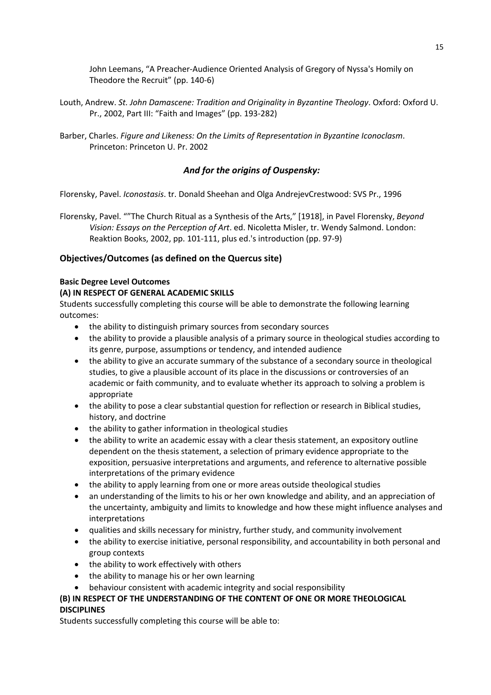John Leemans, "A Preacher-Audience Oriented Analysis of Gregory of Nyssa's Homily on Theodore the Recruit" (pp. 140-6)

- Louth, Andrew. *St. John Damascene: Tradition and Originality in Byzantine Theology*. Oxford: Oxford U. Pr., 2002, Part III: "Faith and Images" (pp. 193-282)
- Barber, Charles. *Figure and Likeness: On the Limits of Representation in Byzantine Iconoclasm*. Princeton: Princeton U. Pr. 2002

### *And for the origins of Ouspensky:*

Florensky, Pavel. *Iconostasis*. tr. Donald Sheehan and Olga AndrejevCrestwood: SVS Pr., 1996

Florensky, Pavel. ""The Church Ritual as a Synthesis of the Arts," [1918], in Pavel Florensky, *Beyond Vision: Essays on the Perception of Art*. ed. Nicoletta Misler, tr. Wendy Salmond. London: Reaktion Books, 2002, pp. 101-111, plus ed.'s introduction (pp. 97-9)

### **Objectives/Outcomes (as defined on the Quercus site)**

#### **Basic Degree Level Outcomes**

#### **(A) IN RESPECT OF GENERAL ACADEMIC SKILLS**

Students successfully completing this course will be able to demonstrate the following learning outcomes:

- the ability to distinguish primary sources from secondary sources
- the ability to provide a plausible analysis of a primary source in theological studies according to its genre, purpose, assumptions or tendency, and intended audience
- the ability to give an accurate summary of the substance of a secondary source in theological studies, to give a plausible account of its place in the discussions or controversies of an academic or faith community, and to evaluate whether its approach to solving a problem is appropriate
- the ability to pose a clear substantial question for reflection or research in Biblical studies, history, and doctrine
- the ability to gather information in theological studies
- the ability to write an academic essay with a clear thesis statement, an expository outline dependent on the thesis statement, a selection of primary evidence appropriate to the exposition, persuasive interpretations and arguments, and reference to alternative possible interpretations of the primary evidence
- the ability to apply learning from one or more areas outside theological studies
- an understanding of the limits to his or her own knowledge and ability, and an appreciation of the uncertainty, ambiguity and limits to knowledge and how these might influence analyses and interpretations
- qualities and skills necessary for ministry, further study, and community involvement
- the ability to exercise initiative, personal responsibility, and accountability in both personal and group contexts
- the ability to work effectively with others
- the ability to manage his or her own learning
- behaviour consistent with academic integrity and social responsibility

### **(B) IN RESPECT OF THE UNDERSTANDING OF THE CONTENT OF ONE OR MORE THEOLOGICAL DISCIPLINES**

Students successfully completing this course will be able to: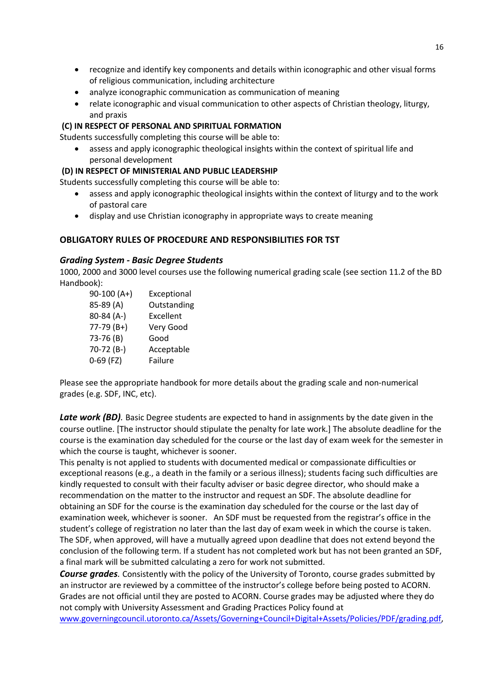- recognize and identify key components and details within iconographic and other visual forms of religious communication, including architecture
- analyze iconographic communication as communication of meaning
- relate iconographic and visual communication to other aspects of Christian theology, liturgy, and praxis

### **(C) IN RESPECT OF PERSONAL AND SPIRITUAL FORMATION**

Students successfully completing this course will be able to:

• assess and apply iconographic theological insights within the context of spiritual life and personal development

#### **(D) IN RESPECT OF MINISTERIAL AND PUBLIC LEADERSHIP**

Students successfully completing this course will be able to:

- assess and apply iconographic theological insights within the context of liturgy and to the work of pastoral care
- display and use Christian iconography in appropriate ways to create meaning

### **OBLIGATORY RULES OF PROCEDURE AND RESPONSIBILITIES FOR TST**

#### *Grading System - Basic Degree Students*

1000, 2000 and 3000 level courses use the following numerical grading scale (see section 11.2 of the BD Handbook):

| 90-100 (A+) | Exceptional |
|-------------|-------------|
| 85-89 (A)   | Outstanding |
| 80-84 (A-)  | Excellent   |
| 77-79 (B+)  | Very Good   |
| 73-76 (B)   | Good        |
| 70-72 (B-)  | Acceptable  |
| 0-69 (FZ)   | Failure     |

Please see the appropriate handbook for more details about the grading scale and non-numerical grades (e.g. SDF, INC, etc).

**Late work (BD)**. Basic Degree students are expected to hand in assignments by the date given in the course outline. [The instructor should stipulate the penalty for late work.] The absolute deadline for the course is the examination day scheduled for the course or the last day of exam week for the semester in which the course is taught, whichever is sooner.

This penalty is not applied to students with documented medical or compassionate difficulties or exceptional reasons (e.g., a death in the family or a serious illness); students facing such difficulties are kindly requested to consult with their faculty adviser or basic degree director, who should make a recommendation on the matter to the instructor and request an SDF. The absolute deadline for obtaining an SDF for the course is the examination day scheduled for the course or the last day of examination week, whichever is sooner. An SDF must be requested from the registrar's office in the student's college of registration no later than the last day of exam week in which the course is taken. The SDF, when approved, will have a mutually agreed upon deadline that does not extend beyond the conclusion of the following term. If a student has not completed work but has not been granted an SDF, a final mark will be submitted calculating a zero for work not submitted.

*Course grades.* Consistently with the policy of the University of Toronto, course grades submitted by an instructor are reviewed by a committee of the instructor's college before being posted to ACORN. Grades are not official until they are posted to ACORN. Course grades may be adjusted where they do not comply with University Assessment and Grading Practices Policy found at

www.governingcouncil.utoronto.ca/Assets/Governing+Council+Digital+Assets/Policies/PDF/grading.pdf,